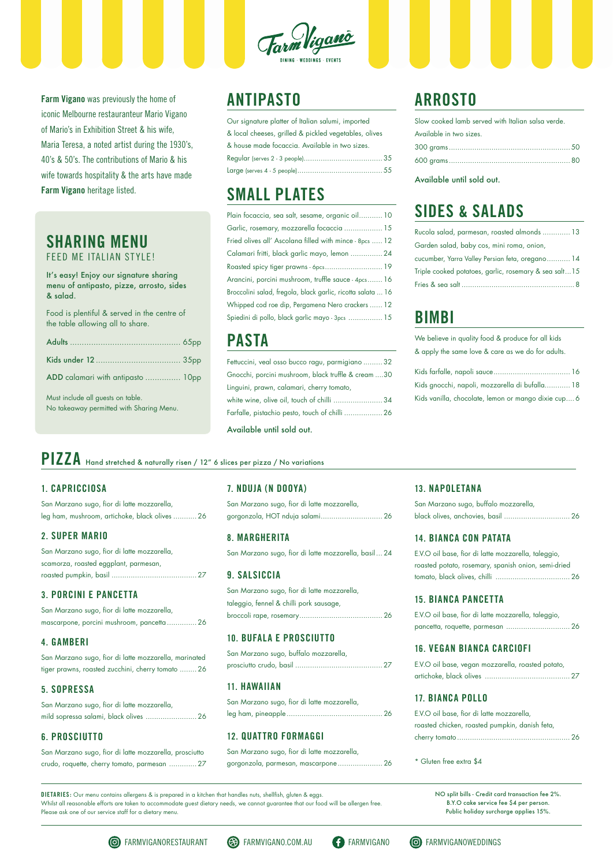It's easy! Enjoy our signature sharing menu of antipasto, pizze, arrosto, sides & salad.

Food is plentiful & served in the centre of the table allowing all to share.

| ADD calamari with antipasto  10pp |  |
|-----------------------------------|--|

Must include all guests on table. No takeaway permitted with Sharing Menu.

# **ANTIPASTO**

| Our signature platter of Italian salumi, imported     |
|-------------------------------------------------------|
| & local cheeses, grilled & pickled vegetables, olives |
| & house made focaccia. Available in two sizes.        |
|                                                       |
|                                                       |

# **SMALL PLATES**

| Plain focaccia, sea salt, sesame, organic oil 10            |
|-------------------------------------------------------------|
| Garlic, rosemary, mozzarella focaccia  15                   |
| Fried olives all' Ascolana filled with mince - 8pcs  12     |
| Calamari fritti, black garlic mayo, lemon  24               |
| Roasted spicy tiger prawns - 6pcs 19                        |
| Arancini, porcini mushroom, truffle sauce - 4pcs 16         |
| Broccolini salad, fregola, black garlic, ricotta salata  16 |
| Whipped cod roe dip, Pergamena Nero crackers  12            |
| Spiedini di pollo, black garlic mayo - 3pcs  15             |

### **PASTA**

| Fettuccini, veal osso bucco ragu, parmigiano  32    |  |
|-----------------------------------------------------|--|
| Gnocchi, porcini mushroom, black truffle & cream 30 |  |
| Linguini, prawn, calamari, cherry tomato,           |  |
| white wine, olive oil, touch of chilli 34           |  |
| Farfalle, pistachio pesto, touch of chilli  26      |  |
|                                                     |  |

Available until sold out.

#### **1. CAPRICCIOSA**

San Marzano sugo, fior di latte mozzarella, leg ham, mushroom, artichoke, black olives ........... 26

#### **2. SUPER MARIO**

| San Marzano sugo, fior di latte mozzarella, |
|---------------------------------------------|
| scamorza, roasted eggplant, parmesan,       |
|                                             |

#### **3. PORCINI E PANCETTA**

| San Marzano sugo, fior di latte mozzarella, |                                            |  |
|---------------------------------------------|--------------------------------------------|--|
|                                             | mascarpone, porcini mushroom, pancetta  26 |  |

#### **4. GAMBERI**

San Marzano sugo, fior di latte mozzarella, marinated tiger prawns, roasted zucchini, cherry tomato ........ 26

#### **5. SOPRESSA**

San Marzano sugo, fior di latte mozzarella, mild sopressa salami, black olives ........................ 26

#### **6. PROSCIUTTO**

San Marzano sugo, fior di latte mozzarella, prosciutto crudo, roquette, cherry tomato, parmesan ............. 27

**DIETARIES:** Our menu contains allergens & is prepared in a kitchen that handles nuts, shellfish, gluten & eggs. Whilst all reasonable efforts are taken to accommodate guest dietary needs, we cannot guarantee that our food will be allergen free. Please ask one of our service staff for a dietary menu.

NO split bills - Credit card transaction fee 2%. B.Y.O cake service fee \$4 per person. Public holiday surcharge applies 15%.

#### **7. NDUJA (N DOOYA)**

San Marzano sugo, fior di latte mozzarella, gorgonzola, HOT nduja salami............................. 26

#### **8. MARGHERITA**

San Marzano sugo, fior di latte mozzarella, basil... 24

#### **9. SALSICCIA**

San Marzano sugo, fior di latte mozzarella, taleggio, fennel & chilli pork sausage, broccoli rape, rosemary....................................... 26

#### **10. BUFALA E PROSCIUTTO**

San Marzano sugo, buffalo mozzarella,

prosciutto crudo, basil ......................................... 27

#### **11. HAWAIIAN**

San Marzano sugo, fior di latte mozzarella, leg ham, pineapple............................................. 26

#### **12. QUATTRO FORMAGGI**

San Marzano sugo, fior di latte mozzarella, gorgonzola, parmesan, mascarpone..................... 26

#### **13. NAPOLETANA**

| San Marzano sugo, buffalo mozzarella, |  |
|---------------------------------------|--|
|                                       |  |

#### **14. BIANCA CON PATATA**

| E.V.O oil base, fior di latte mozzarella, taleggio, |
|-----------------------------------------------------|
| roasted potato, rosemary, spanish onion, semi-dried |
|                                                     |

#### **15. BIANCA PANCETTA**

| E.V.O oil base, fior di latte mozzarella, taleggio, |  |
|-----------------------------------------------------|--|
|                                                     |  |

#### **16. VEGAN BIANCA CARCIOFI**

E.V.O oil base, vegan mozzarella, roasted potato, artichoke, black olives ........................................ 27

#### **17. BIANCA POLLO**

| E.V.O oil base, fior di latte mozzarella,      |  |
|------------------------------------------------|--|
| roasted chicken, roasted pumpkin, danish feta, |  |
|                                                |  |

\* Gluten free extra \$4

# **PIZZA** Hand stretched & naturally risen / 12" 6 slices per pizza / No variations

# **ARROSTO**

| Slow cooked lamb served with Italian salsa verde. |  |
|---------------------------------------------------|--|
| Available in two sizes.                           |  |
|                                                   |  |
|                                                   |  |

Available until sold out.

# **SIDES & SALADS**

| Rucola salad, parmesan, roasted almonds  13           |
|-------------------------------------------------------|
| Garden salad, baby cos, mini roma, onion,             |
| cucumber, Yarra Valley Persian feta, oregano 14       |
| Triple cooked potatoes, garlic, rosemary & sea salt15 |
|                                                       |

# **BIMBI**

We believe in quality food & produce for all kids & apply the same love & care as we do for adults.

| Kids gnocchi, napoli, mozzarella di bufalla 18      |  |
|-----------------------------------------------------|--|
| Kids vanilla, chocolate, lemon or mango dixie cup 6 |  |









**Farm Vigano** was previously the home of iconic Melbourne restauranteur Mario Vigano of Mario's in Exhibition Street & his wife, Maria Teresa, a noted artist during the 1930's, 40's & 50's. The contributions of Mario & his wife towards hospitality & the arts have made **Farm Vigano** heritage listed.

### **SHARING MENU** FEED ME ITALIAN STYLE!